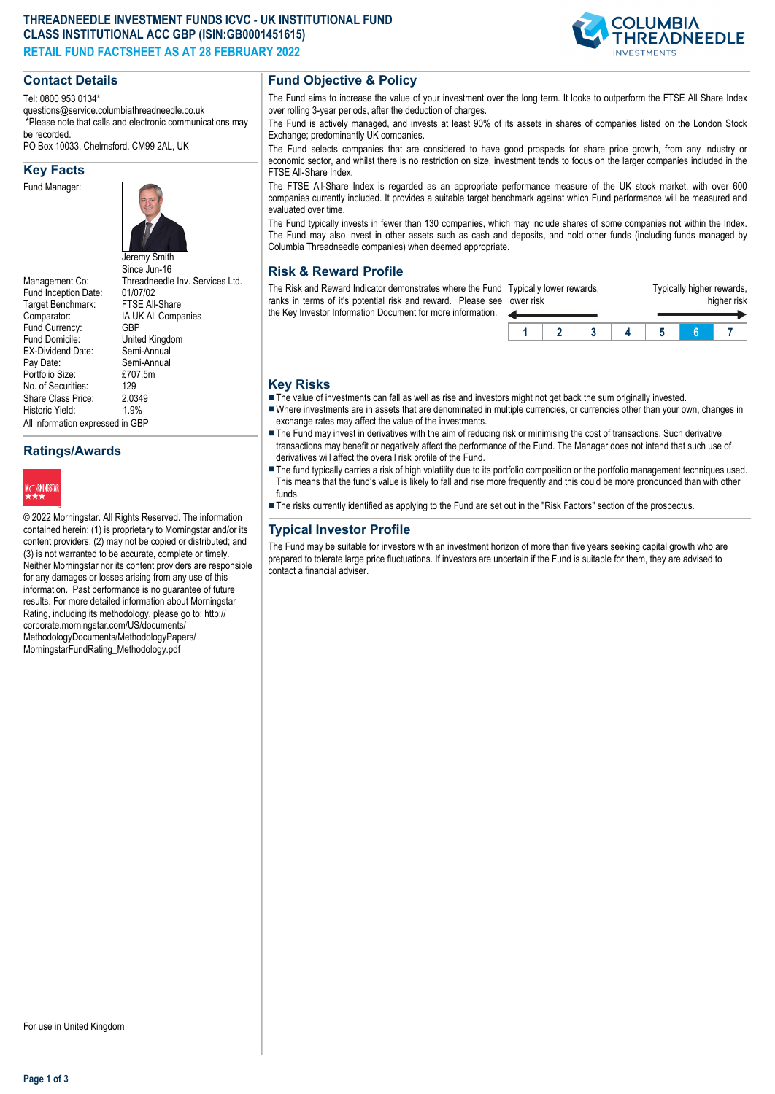## **THREADNEEDLE INVESTMENT FUNDS ICVC - UK INSTITUTIONAL FUND CLASS INSTITUTIONAL ACC GBP (ISIN:GB0001451615) RETAIL FUND FACTSHEET AS AT 28 FEBRUARY 2022**



## **Contact Details**

Tel: 0800 953 0134\*

questions@service.columbiathreadneedle.co.uk \*Please note that calls and electronic communications may be recorded.

PO Box 10033, Chelmsford. CM99 2AL, UK

#### **Key Facts**

Fund Manager:



Since Jun-16 Management Co: Threadneedle Inv. Services Ltd.<br>Fund Inception Date: 01/07/02 Fund Inception Date: 01/07/02<br>Target Benchmark: FTSF All-Share Target Benchmark: Comparator: IA UK All Companies<br>Fund Currency: GBP Fund Currency:<br>Fund Domicile: United Kingdom<br>Semi-Annual EX-Dividend Date:<br>Pay Date: Semi-Annual<br>£707.5m Portfolio Size: £70<br>No. of Securities: 129 No. of Securities: 129<br>Share Class Price: 2.0349 Share Class Price: 2.034<br>Historic Vield: 1.9% Historic Yield: All information expressed in GBP

**Ratings/Awards**



© 2022 Morningstar. All Rights Reserved. The information contained herein: (1) is proprietary to Morningstar and/or its content providers; (2) may not be copied or distributed; and (3) is not warranted to be accurate, complete or timely. Neither Morningstar nor its content providers are responsible for any damages or losses arising from any use of this information. Past performance is no guarantee of future results. For more detailed information about Morningstar Rating, including its methodology, please go to: http:// corporate.morningstar.com/US/documents/ MethodologyDocuments/MethodologyPapers/ MorningstarFundRating\_Methodology.pdf

## **Fund Objective & Policy**

The Fund aims to increase the value of your investment over the long term. It looks to outperform the FTSE All Share Index over rolling 3-year periods, after the deduction of charges.

The Fund is actively managed, and invests at least 90% of its assets in shares of companies listed on the London Stock Exchange; predominantly UK companies.

The Fund selects companies that are considered to have good prospects for share price growth, from any industry or economic sector, and whilst there is no restriction on size, investment tends to focus on the larger companies included in the FTSE All-Share Index.

The FTSE All-Share Index is regarded as an appropriate performance measure of the UK stock market, with over 600 companies currently included. It provides a suitable target benchmark against which Fund performance will be measured and evaluated over time.

The Fund typically invests in fewer than 130 companies, which may include shares of some companies not within the Index. The Fund may also invest in other assets such as cash and deposits, and hold other funds (including funds managed by Columbia Threadneedle companies) when deemed appropriate.

#### **Risk & Reward Profile**

The Risk and Reward Indicator demonstrates where the Fund Typically lower rewards, ranks in terms of it's potential risk and reward. Please see lower risk the Key Investor Information Document for more information. ◢

| er risk | pically lower rewards, |  | Typically higher rewards, | higher risk |  |
|---------|------------------------|--|---------------------------|-------------|--|
|         |                        |  |                           |             |  |

## **Key Risks**

The value of investments can fall as well as rise and investors might not get back the sum originally invested.

- Where investments are in assets that are denominated in multiple currencies, or currencies other than your own, changes in exchange rates may affect the value of the investments.
- The Fund may invest in derivatives with the aim of reducing risk or minimising the cost of transactions. Such derivative transactions may benefit or negatively affect the performance of the Fund. The Manager does not intend that such use of derivatives will affect the overall risk profile of the Fund.
- The fund typically carries a risk of high volatility due to its portfolio composition or the portfolio management techniques used. This means that the fund's value is likely to fall and rise more frequently and this could be more pronounced than with other funds.
- n The risks currently identified as applying to the Fund are set out in the "Risk Factors" section of the prospectus.

## **Typical Investor Profile**

The Fund may be suitable for investors with an investment horizon of more than five years seeking capital growth who are prepared to tolerate large price fluctuations. If investors are uncertain if the Fund is suitable for them, they are advised to contact a financial adviser.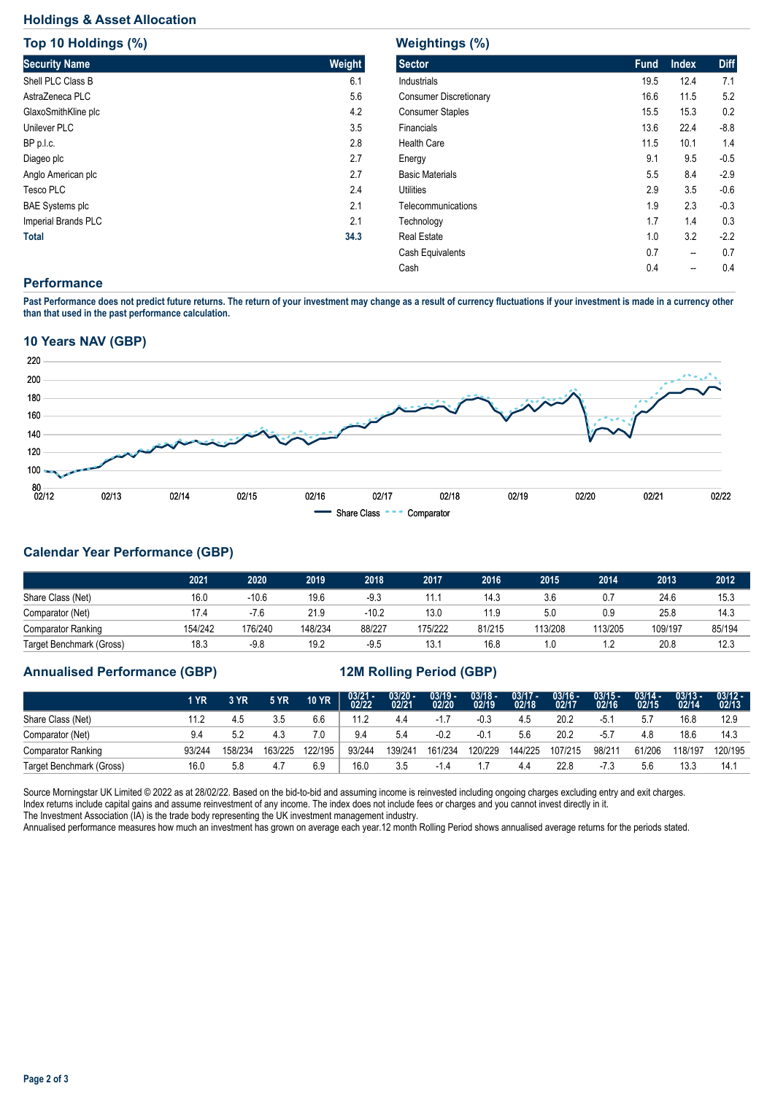# **Holdings & Asset Allocation**

| Top 10 Holdings (%)    |        |  |  |  |  |  |  |
|------------------------|--------|--|--|--|--|--|--|
| <b>Security Name</b>   | Weight |  |  |  |  |  |  |
| Shell PLC Class B      | 6.1    |  |  |  |  |  |  |
| AstraZeneca PLC        | 5.6    |  |  |  |  |  |  |
| GlaxoSmithKline plc    | 4.2    |  |  |  |  |  |  |
| Unilever PLC           | 3.5    |  |  |  |  |  |  |
| BP p.l.c.              | 2.8    |  |  |  |  |  |  |
| Diageo plc             | 2.7    |  |  |  |  |  |  |
| Anglo American plc     | 2.7    |  |  |  |  |  |  |
| <b>Tesco PLC</b>       | 2.4    |  |  |  |  |  |  |
| <b>BAE Systems plc</b> | 2.1    |  |  |  |  |  |  |
| Imperial Brands PLC    | 2.1    |  |  |  |  |  |  |
| <b>Total</b>           | 34.3   |  |  |  |  |  |  |

| <b>Weightings (%)</b>         |             |              |             |  |  |  |  |  |  |
|-------------------------------|-------------|--------------|-------------|--|--|--|--|--|--|
| <b>Sector</b>                 | <b>Fund</b> | <b>Index</b> | <b>Diff</b> |  |  |  |  |  |  |
| Industrials                   | 19.5        | 12.4         | 7.1         |  |  |  |  |  |  |
| <b>Consumer Discretionary</b> | 16.6        | 11.5         | 5.2         |  |  |  |  |  |  |
| <b>Consumer Staples</b>       | 15.5        | 15.3         | 0.2         |  |  |  |  |  |  |
| Financials                    | 13.6        | 22.4         | $-8.8$      |  |  |  |  |  |  |
| <b>Health Care</b>            | 11.5        | 10.1         | 1.4         |  |  |  |  |  |  |
| Energy                        | 9.1         | 9.5          | $-0.5$      |  |  |  |  |  |  |
| <b>Basic Materials</b>        | $5.5\,$     | 8.4          | $-2.9$      |  |  |  |  |  |  |
| Utilities                     | 2.9         | 3.5          | $-0.6$      |  |  |  |  |  |  |
| Telecommunications            | 1.9         | 2.3          | $-0.3$      |  |  |  |  |  |  |
| Technology                    | 1.7         | 1.4          | 0.3         |  |  |  |  |  |  |
| <b>Real Estate</b>            | 1.0         | 3.2          | $-2.2$      |  |  |  |  |  |  |
| Cash Equivalents              | 0.7         | --           | 0.7         |  |  |  |  |  |  |
| Cash                          | 0.4         |              | 0.4         |  |  |  |  |  |  |

#### **Performance**

**Past Performance does not predict future returns. The return of your investment may change as a result of currency fluctuations if your investment is made in a currency other than that used in the past performance calculation.** 

## **10 Years NAV (GBP)**



# **Calendar Year Performance (GBP)**

|                           | 2021    | 2020    | 2019    | 2018   | 2017    | 2016   | 2015    | 2014    | 2013    | 2012   |
|---------------------------|---------|---------|---------|--------|---------|--------|---------|---------|---------|--------|
| Share Class (Net)         | 16.0    | $-10.6$ | 19.6    | $-9.3$ | 11.1    | 14.3   | 3.6     | 0.7     | 24.6    | 15.3   |
| Comparator (Net)          | 17.4    | $-7.6$  | 21.9    | -10.2  | 13.0    | 11.9   | 5.0     | 0.9     | 25.8    | 14.3   |
| <b>Comparator Ranking</b> | 154/242 | 176/240 | 148/234 | 88/227 | 175/222 | 81/215 | 113/208 | 113/205 | 109/197 | 85/194 |
| Target Benchmark (Gross)  | 18.3    | $-9.8$  | 19.2    | $-9.5$ | 13.7    | 16.8   | 1.0     |         | 20.8    | 12.3   |

## **Annualised Performance (GBP) 12M Rolling Period (GBP)**

|                           | 1 YR   | 3 YR    | <b>5 YR</b> | <b>10 YR</b> | $03/21 - 02/22$ | $\frac{03/20 - 0.21}{02/21}$ | $\frac{03/19}{02/20}$ | 03/18 -<br>02/19 | $\frac{03/17}{02/18}$ | 03/16 -<br>02/17 | $03/15 -$<br>02/16 | $03/14 -$<br>02/15 | $03/13 -$<br>02/14 | $\frac{03/12 - 03/12}{02/13}$ |
|---------------------------|--------|---------|-------------|--------------|-----------------|------------------------------|-----------------------|------------------|-----------------------|------------------|--------------------|--------------------|--------------------|-------------------------------|
| Share Class (Net)         |        | 4.5     | 3.5         | 6.6          | 11.2            | 4.4                          |                       | -0.3             | 4.5                   | 20.2             | -5.                | 5.7                | 16.8               | 12.9                          |
| Comparator (Net)          |        | 5.2     | 4.3         | 7.0          | 9.4             | 5.4                          | $-0.2$                | $-0.1$           | 5.6                   | 20.2             | $-5.7$             | 4.8                | 18.6               | 14.3                          |
| <b>Comparator Ranking</b> | 93/244 | 158/234 | 163/225     | 122/195      | 93/244          | 139/241                      | 161/234               | 120/229          | 144/225               | 107/215          | 98/211             | 61/206             | 118/197            | 120/195                       |
| Target Benchmark (Gross)  | 16.0   | 5.8     | 4.7         | 6.9          | 16.0            | 3.5                          |                       |                  | 4.4                   | 22.8             | -7.3               | 5.6                | 13.3               | 14.7                          |

Source Morningstar UK Limited © 2022 as at 28/02/22. Based on the bid-to-bid and assuming income is reinvested including ongoing charges excluding entry and exit charges. Index returns include capital gains and assume reinvestment of any income. The index does not include fees or charges and you cannot invest directly in it. The Investment Association (IA) is the trade body representing the UK investment management industry.

Annualised performance measures how much an investment has grown on average each year.12 month Rolling Period shows annualised average returns for the periods stated.